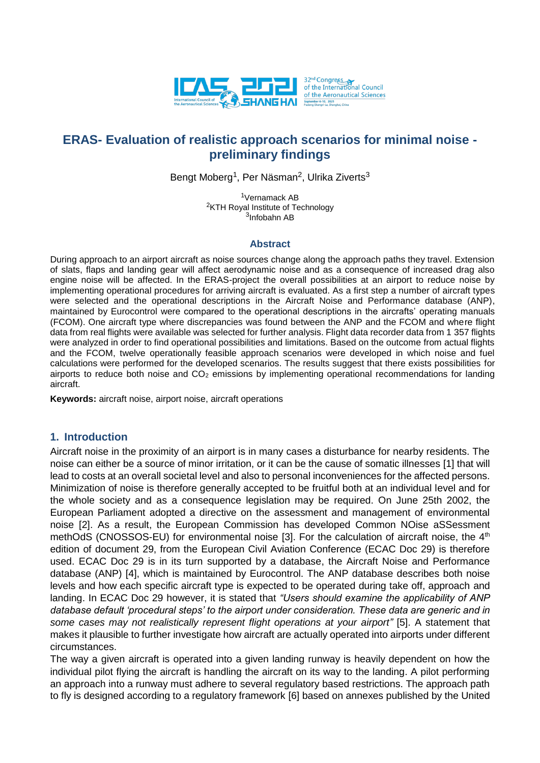

# **ERAS- Evaluation of realistic approach scenarios for minimal noise preliminary findings**

Bengt Moberg<sup>1</sup>, Per Näsman<sup>2</sup>, Ulrika Ziverts<sup>3</sup>

<sup>1</sup>Vernamack AB <sup>2</sup>KTH Royal Institute of Technology <sup>3</sup>Infobahn AB

### **Abstract**

During approach to an airport aircraft as noise sources change along the approach paths they travel. Extension of slats, flaps and landing gear will affect aerodynamic noise and as a consequence of increased drag also engine noise will be affected. In the ERAS-project the overall possibilities at an airport to reduce noise by implementing operational procedures for arriving aircraft is evaluated. As a first step a number of aircraft types were selected and the operational descriptions in the Aircraft Noise and Performance database (ANP), maintained by Eurocontrol were compared to the operational descriptions in the aircrafts' operating manuals (FCOM). One aircraft type where discrepancies was found between the ANP and the FCOM and where flight data from real flights were available was selected for further analysis. Flight data recorder data from 1 357 flights were analyzed in order to find operational possibilities and limitations. Based on the outcome from actual flights and the FCOM, twelve operationally feasible approach scenarios were developed in which noise and fuel calculations were performed for the developed scenarios. The results suggest that there exists possibilities for airports to reduce both noise and  $CO<sub>2</sub>$  emissions by implementing operational recommendations for landing aircraft.

**Keywords:** aircraft noise, airport noise, aircraft operations

### **1. Introduction**

Aircraft noise in the proximity of an airport is in many cases a disturbance for nearby residents. The noise can either be a source of minor irritation, or it can be the cause of somatic illnesses [1] that will lead to costs at an overall societal level and also to personal inconveniences for the affected persons. Minimization of noise is therefore generally accepted to be fruitful both at an individual level and for the whole society and as a consequence legislation may be required. On June 25th 2002, the European Parliament adopted a directive on the assessment and management of environmental noise [2]. As a result, the European Commission has developed Common NOise aSSessment methOdS (CNOSSOS-EU) for environmental noise [3]. For the calculation of aircraft noise, the 4<sup>th</sup> edition of document 29, from the European Civil Aviation Conference (ECAC Doc 29) is therefore used. ECAC Doc 29 is in its turn supported by a database, the Aircraft Noise and Performance database (ANP) [4], which is maintained by Eurocontrol. The ANP database describes both noise levels and how each specific aircraft type is expected to be operated during take off, approach and landing. In ECAC Doc 29 however, it is stated that *"Users should examine the applicability of ANP database default 'procedural steps' to the airport under consideration. These data are generic and in some cases may not realistically represent flight operations at your airport"* [5]. A statement that makes it plausible to further investigate how aircraft are actually operated into airports under different circumstances.

The way a given aircraft is operated into a given landing runway is heavily dependent on how the individual pilot flying the aircraft is handling the aircraft on its way to the landing. A pilot performing an approach into a runway must adhere to several regulatory based restrictions. The approach path to fly is designed according to a regulatory framework [6] based on annexes published by the United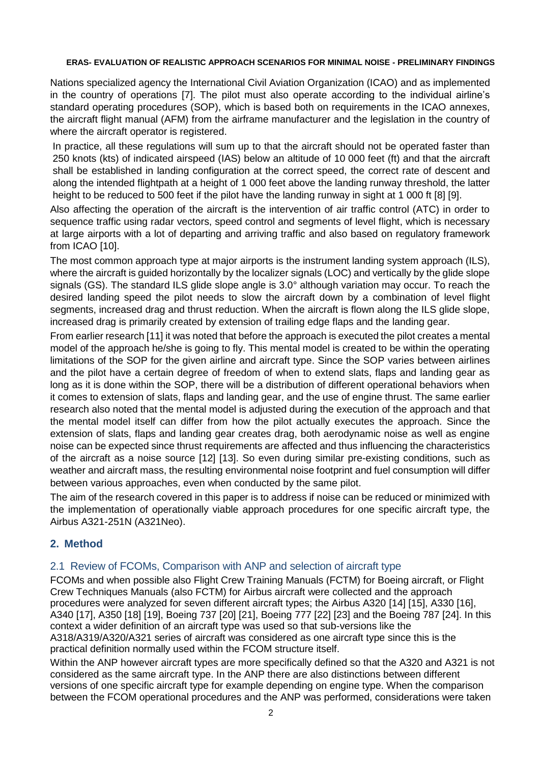Nations specialized agency the International Civil Aviation Organization (ICAO) and as implemented in the country of operations [7]. The pilot must also operate according to the individual airline's standard operating procedures (SOP), which is based both on requirements in the ICAO annexes, the aircraft flight manual (AFM) from the airframe manufacturer and the legislation in the country of where the aircraft operator is registered.

In practice, all these regulations will sum up to that the aircraft should not be operated faster than 250 knots (kts) of indicated airspeed (IAS) below an altitude of 10 000 feet (ft) and that the aircraft shall be established in landing configuration at the correct speed, the correct rate of descent and along the intended flightpath at a height of 1 000 feet above the landing runway threshold, the latter height to be reduced to 500 feet if the pilot have the landing runway in sight at 1 000 ft [8] [9].

Also affecting the operation of the aircraft is the intervention of air traffic control (ATC) in order to sequence traffic using radar vectors, speed control and segments of level flight, which is necessary at large airports with a lot of departing and arriving traffic and also based on regulatory framework from ICAO [10].

The most common approach type at major airports is the instrument landing system approach (ILS), where the aircraft is guided horizontally by the localizer signals (LOC) and vertically by the glide slope signals (GS). The standard ILS glide slope angle is 3.0° although variation may occur. To reach the desired landing speed the pilot needs to slow the aircraft down by a combination of level flight segments, increased drag and thrust reduction. When the aircraft is flown along the ILS glide slope, increased drag is primarily created by extension of trailing edge flaps and the landing gear.

From earlier research [11] it was noted that before the approach is executed the pilot creates a mental model of the approach he/she is going to fly. This mental model is created to be within the operating limitations of the SOP for the given airline and aircraft type. Since the SOP varies between airlines and the pilot have a certain degree of freedom of when to extend slats, flaps and landing gear as long as it is done within the SOP, there will be a distribution of different operational behaviors when it comes to extension of slats, flaps and landing gear, and the use of engine thrust. The same earlier research also noted that the mental model is adjusted during the execution of the approach and that the mental model itself can differ from how the pilot actually executes the approach. Since the extension of slats, flaps and landing gear creates drag, both aerodynamic noise as well as engine noise can be expected since thrust requirements are affected and thus influencing the characteristics of the aircraft as a noise source [12] [13]. So even during similar pre-existing conditions, such as weather and aircraft mass, the resulting environmental noise footprint and fuel consumption will differ between various approaches, even when conducted by the same pilot.

The aim of the research covered in this paper is to address if noise can be reduced or minimized with the implementation of operationally viable approach procedures for one specific aircraft type, the Airbus A321-251N (A321Neo).

## **2. Method**

## 2.1 Review of FCOMs, Comparison with ANP and selection of aircraft type

FCOMs and when possible also Flight Crew Training Manuals (FCTM) for Boeing aircraft, or Flight Crew Techniques Manuals (also FCTM) for Airbus aircraft were collected and the approach procedures were analyzed for seven different aircraft types; the Airbus A320 [14] [15], A330 [16], A340 [17], A350 [18] [19], Boeing 737 [20] [21], Boeing 777 [22] [23] and the Boeing 787 [24]. In this context a wider definition of an aircraft type was used so that sub-versions like the A318/A319/A320/A321 series of aircraft was considered as one aircraft type since this is the practical definition normally used within the FCOM structure itself.

Within the ANP however aircraft types are more specifically defined so that the A320 and A321 is not considered as the same aircraft type. In the ANP there are also distinctions between different versions of one specific aircraft type for example depending on engine type. When the comparison between the FCOM operational procedures and the ANP was performed, considerations were taken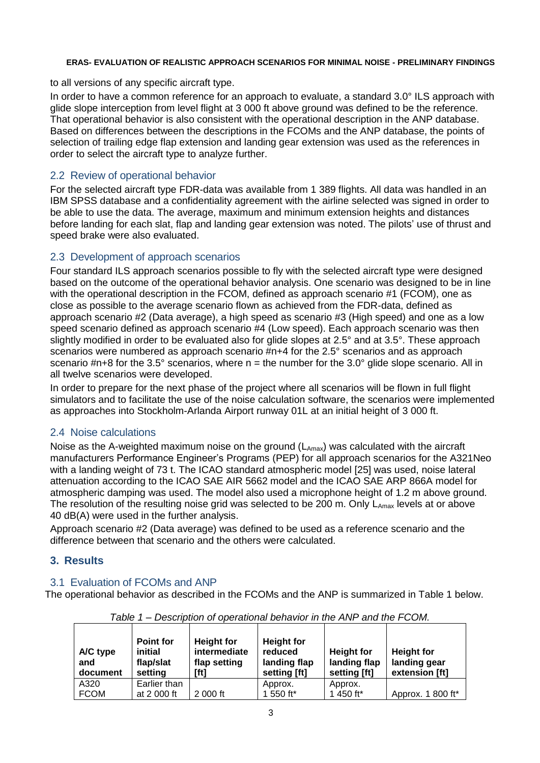to all versions of any specific aircraft type.

In order to have a common reference for an approach to evaluate, a standard 3.0° ILS approach with glide slope interception from level flight at 3 000 ft above ground was defined to be the reference. That operational behavior is also consistent with the operational description in the ANP database. Based on differences between the descriptions in the FCOMs and the ANP database, the points of selection of trailing edge flap extension and landing gear extension was used as the references in order to select the aircraft type to analyze further.

### 2.2 Review of operational behavior

For the selected aircraft type FDR-data was available from 1 389 flights. All data was handled in an IBM SPSS database and a confidentiality agreement with the airline selected was signed in order to be able to use the data. The average, maximum and minimum extension heights and distances before landing for each slat, flap and landing gear extension was noted. The pilots' use of thrust and speed brake were also evaluated.

### 2.3 Development of approach scenarios

Four standard ILS approach scenarios possible to fly with the selected aircraft type were designed based on the outcome of the operational behavior analysis. One scenario was designed to be in line with the operational description in the FCOM, defined as approach scenario #1 (FCOM), one as close as possible to the average scenario flown as achieved from the FDR-data, defined as approach scenario #2 (Data average), a high speed as scenario #3 (High speed) and one as a low speed scenario defined as approach scenario #4 (Low speed). Each approach scenario was then slightly modified in order to be evaluated also for glide slopes at 2.5° and at 3.5°. These approach scenarios were numbered as approach scenario #n+4 for the 2.5° scenarios and as approach scenario  $\#n+8$  for the 3.5° scenarios, where  $n =$  the number for the 3.0° glide slope scenario. All in all twelve scenarios were developed.

In order to prepare for the next phase of the project where all scenarios will be flown in full flight simulators and to facilitate the use of the noise calculation software, the scenarios were implemented as approaches into Stockholm-Arlanda Airport runway 01L at an initial height of 3 000 ft.

## 2.4 Noise calculations

Noise as the A-weighted maximum noise on the ground  $(L_{Amax})$  was calculated with the aircraft manufacturers Performance Engineer's Programs (PEP) for all approach scenarios for the A321Neo with a landing weight of 73 t. The ICAO standard atmospheric model [25] was used, noise lateral attenuation according to the ICAO SAE AIR 5662 model and the ICAO SAE ARP 866A model for atmospheric damping was used. The model also used a microphone height of 1.2 m above ground. The resolution of the resulting noise grid was selected to be 200 m. Only  $L_{Amax}$  levels at or above 40 dB(A) were used in the further analysis.

Approach scenario #2 (Data average) was defined to be used as a reference scenario and the difference between that scenario and the others were calculated.

### **3. Results**

## 3.1 Evaluation of FCOMs and ANP

The operational behavior as described in the FCOMs and the ANP is summarized in Table 1 below.

| A/C type<br>and<br>document | <b>Point for</b><br>initial<br>flap/slat<br>setting | <b>Height for</b><br>intermediate<br>flap setting<br>[ft] | <b>Height for</b><br>reduced<br>landing flap<br>setting [ft] | <b>Height for</b><br>landing flap<br>setting [ft] | <b>Height for</b><br>landing gear<br>extension [ft] |
|-----------------------------|-----------------------------------------------------|-----------------------------------------------------------|--------------------------------------------------------------|---------------------------------------------------|-----------------------------------------------------|
| A320                        | Earlier than                                        |                                                           | Approx.                                                      | Approx.                                           |                                                     |
| <b>FCOM</b>                 | at 2 000 ft                                         | 2 000 ft                                                  | 1 550 ft*                                                    | 1 450 ft*                                         | Approx. 1 800 ft*                                   |

*Table 1 – Description of operational behavior in the ANP and the FCOM.*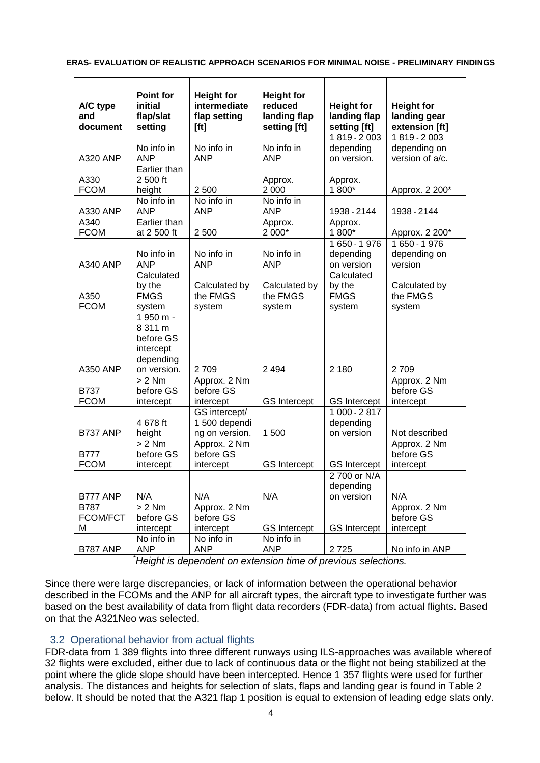| A/C type<br>and<br>document         | <b>Point for</b><br>initial<br>flap/slat<br>setting                        | <b>Height for</b><br>intermediate<br>flap setting<br>[ft] | <b>Height for</b><br>reduced<br>landing flap<br>setting [ft] | <b>Height for</b><br>landing flap<br>setting [ft] | <b>Height for</b><br>landing gear<br>extension [ft] |
|-------------------------------------|----------------------------------------------------------------------------|-----------------------------------------------------------|--------------------------------------------------------------|---------------------------------------------------|-----------------------------------------------------|
| <b>A320 ANP</b>                     | No info in<br><b>ANP</b>                                                   | No info in<br><b>ANP</b>                                  | No info in<br><b>ANP</b>                                     | $1819 - 2003$<br>depending<br>on version.         | 1819 - 2003<br>depending on<br>version of a/c.      |
| A330<br><b>FCOM</b>                 | Earlier than<br>2 500 ft<br>height                                         | 2 500                                                     | Approx.<br>2 0 0 0                                           | Approx.<br>1 800*                                 | Approx. 2 200*                                      |
| A330 ANP                            | No info in<br><b>ANP</b>                                                   | No info in<br><b>ANP</b>                                  | No info in<br><b>ANP</b>                                     | 1938 - 2144                                       | 1938 - 2144                                         |
| A340<br><b>FCOM</b>                 | Earlier than<br>at 2 500 ft                                                | 2 500                                                     | Approx.<br>2 000*                                            | Approx.<br>1 800*                                 | Approx. 2 200*                                      |
| <b>A340 ANP</b>                     | No info in<br><b>ANP</b>                                                   | No info in<br><b>ANP</b>                                  | No info in<br><b>ANP</b>                                     | 1 650 - 1 976<br>depending<br>on version          | 1 650 - 1 976<br>depending on<br>version            |
| A350<br><b>FCOM</b>                 | Calculated<br>by the<br><b>FMGS</b><br>system                              | Calculated by<br>the FMGS<br>system                       | Calculated by<br>the FMGS<br>system                          | Calculated<br>by the<br><b>FMGS</b><br>system     | Calculated by<br>the FMGS<br>system                 |
| <b>A350 ANP</b>                     | 1 950 m -<br>8 311 m<br>before GS<br>intercept<br>depending<br>on version. | 2709                                                      | 2 4 9 4                                                      | 2 180                                             | 2709                                                |
| <b>B737</b><br><b>FCOM</b>          | $> 2$ Nm<br>before GS<br>intercept                                         | Approx. 2 Nm<br>before GS<br>intercept                    | <b>GS</b> Intercept                                          | <b>GS</b> Intercept                               | Approx. 2 Nm<br>before GS<br>intercept              |
| <b>B737 ANP</b>                     | 4 678 ft<br>height                                                         | GS intercept/<br>1 500 dependi<br>ng on version.          | 1 500                                                        | 1 000 - 2 817<br>depending<br>on version          | Not described                                       |
| <b>B777</b><br><b>FCOM</b>          | $> 2$ Nm<br>before GS<br>intercept                                         | Approx. 2 Nm<br>before GS<br>intercept                    | <b>GS</b> Intercept                                          | <b>GS</b> Intercept                               | Approx. 2 Nm<br>before GS<br>intercept              |
| B777 ANP                            | N/A                                                                        | N/A                                                       | N/A                                                          | 2 700 or N/A<br>depending<br>on version           | N/A                                                 |
| <b>B787</b><br><b>FCOM/FCT</b><br>М | $> 2$ Nm<br>before GS<br>intercept                                         | Approx. 2 Nm<br>before GS<br>intercept                    | <b>GS</b> Intercept                                          | <b>GS</b> Intercept                               | Approx. 2 Nm<br>before GS<br>intercept              |
| <b>B787 ANP</b>                     | No info in<br><b>ANP</b>                                                   | No info in<br><b>ANP</b>                                  | No info in<br><b>ANP</b>                                     | 2725                                              | No info in ANP                                      |

*\*Height is dependent on extension time of previous selections.*

Since there were large discrepancies, or lack of information between the operational behavior described in the FCOMs and the ANP for all aircraft types, the aircraft type to investigate further was based on the best availability of data from flight data recorders (FDR-data) from actual flights. Based on that the A321Neo was selected.

## 3.2 Operational behavior from actual flights

FDR-data from 1 389 flights into three different runways using ILS-approaches was available whereof 32 flights were excluded, either due to lack of continuous data or the flight not being stabilized at the point where the glide slope should have been intercepted. Hence 1 357 flights were used for further analysis. The distances and heights for selection of slats, flaps and landing gear is found in Table 2 below. It should be noted that the A321 flap 1 position is equal to extension of leading edge slats only.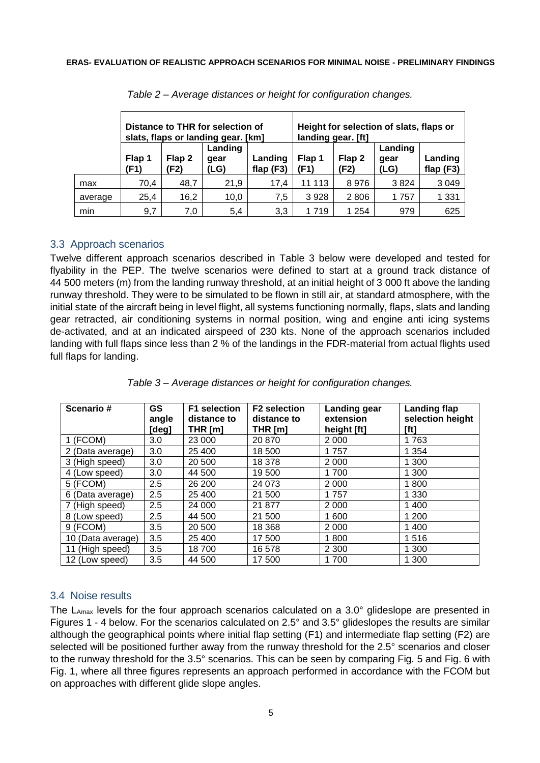|         | Distance to THR for selection of<br>slats, flaps or landing gear. [km] |                |                         | Height for selection of slats, flaps or<br>landing gear. [ft] |                |                |                         |                        |
|---------|------------------------------------------------------------------------|----------------|-------------------------|---------------------------------------------------------------|----------------|----------------|-------------------------|------------------------|
|         | Flap 1<br>(F1)                                                         | Flap 2<br>(F2) | Landing<br>gear<br>(LG) | Landing<br>flap $(F3)$                                        | Flap 1<br>(F1) | Flap 2<br>(F2) | Landing<br>gear<br>(LG) | Landing<br>flap $(F3)$ |
| max     | 70.4                                                                   | 48,7           | 21.9                    | 17.4                                                          | 11 113         | 8976           | 3824                    | 3 0 4 9                |
| average | 25,4                                                                   | 16,2           | 10,0                    | 7.5                                                           | 3928           | 2806           | 1757                    | 1 331                  |
| min     | 9,7                                                                    | 7,0            | 5,4                     | 3,3                                                           | 1 7 1 9        | 1 2 5 4        | 979                     | 625                    |

*Table 2 – Average distances or height for configuration changes.*

## 3.3 Approach scenarios

Twelve different approach scenarios described in Table 3 below were developed and tested for flyability in the PEP. The twelve scenarios were defined to start at a ground track distance of 44 500 meters (m) from the landing runway threshold, at an initial height of 3 000 ft above the landing runway threshold. They were to be simulated to be flown in still air, at standard atmosphere, with the initial state of the aircraft being in level flight, all systems functioning normally, flaps, slats and landing gear retracted, air conditioning systems in normal position, wing and engine anti icing systems de-activated, and at an indicated airspeed of 230 kts. None of the approach scenarios included landing with full flaps since less than 2 % of the landings in the FDR-material from actual flights used full flaps for landing.

| Scenario#         | <b>GS</b><br>angle | <b>F1</b> selection<br>distance to | <b>F2</b> selection<br>distance to | <b>Landing gear</b><br>extension | Landing flap<br>selection height |
|-------------------|--------------------|------------------------------------|------------------------------------|----------------------------------|----------------------------------|
|                   | [deg]              | THR $[m]$                          | THR $[m]$                          | height [ft]                      | [ft]                             |
| 1 (FCOM)          | 3.0                | 23 000                             | 20 870                             | 2 0 0 0                          | 1763                             |
| 2 (Data average)  | 3.0                | 25 400                             | 18 500                             | 1757                             | 1 3 5 4                          |
| 3 (High speed)    | 3.0                | 20 500                             | 18 378                             | 2 0 0 0                          | 1 300                            |
| 4 (Low speed)     | 3.0                | 44 500                             | 19 500                             | 1700                             | 1 300                            |
| 5 (FCOM)          | 2.5                | 26 200                             | 24 073                             | 2 0 0 0                          | 1800                             |
| 6 (Data average)  | 2.5                | 25 400                             | 21 500                             | 1757                             | 1 3 3 0                          |
| 7 (High speed)    | 2.5                | 24 000                             | 21 877                             | 2 0 0 0                          | 1 400                            |
| 8 (Low speed)     | 2.5                | 44 500                             | 21 500                             | 1 600                            | 1 200                            |
| 9 (FCOM)          | 3.5                | 20 500                             | 18 3 68                            | 2 0 0 0                          | 1 400                            |
| 10 (Data average) | 3.5                | 25 400                             | 17 500                             | 1800                             | 1516                             |
| 11 (High speed)   | 3.5                | 18700                              | 16 578                             | 2 3 0 0                          | 1 300                            |
| 12 (Low speed)    | 3.5                | 44 500                             | 17 500                             | 1700                             | 1 300                            |

*Table 3 – Average distances or height for configuration changes.*

## 3.4 Noise results

The  $L_{\text{Amax}}$  levels for the four approach scenarios calculated on a 3.0 $^{\circ}$  glideslope are presented in Figures 1 - 4 below. For the scenarios calculated on 2.5° and 3.5° glideslopes the results are similar although the geographical points where initial flap setting (F1) and intermediate flap setting (F2) are selected will be positioned further away from the runway threshold for the 2.5° scenarios and closer to the runway threshold for the 3.5° scenarios. This can be seen by comparing Fig. 5 and Fig. 6 with Fig. 1, where all three figures represents an approach performed in accordance with the FCOM but on approaches with different glide slope angles.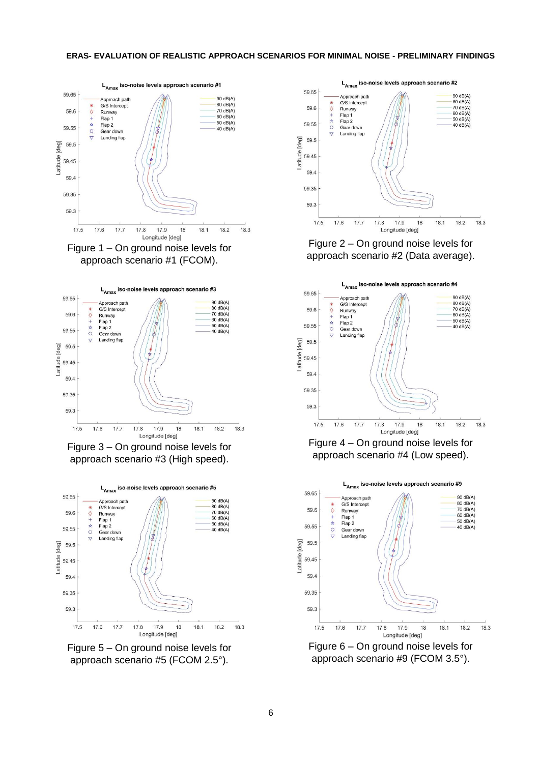





Figure 3 – On ground noise levels for approach scenario #3 (High speed).



Figure 5 – On ground noise levels for approach scenario #5 (FCOM 2.5°).



Figure 2 – On ground noise levels for approach scenario #2 (Data average).



Figure 4 – On ground noise levels for approach scenario #4 (Low speed).



Figure 6 – On ground noise levels for approach scenario #9 (FCOM 3.5°).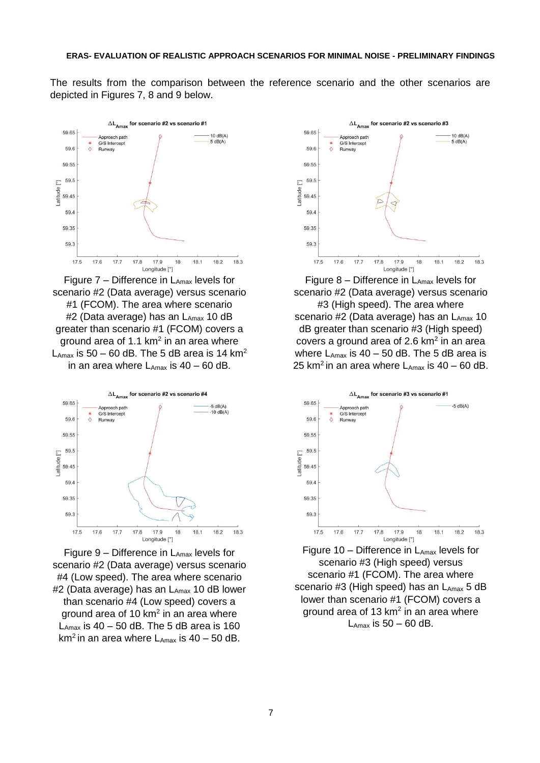The results from the comparison between the reference scenario and the other scenarios are depicted in Figures 7, 8 and 9 below.



Figure  $7$  – Difference in  $L_{Amax}$  levels for scenario #2 (Data average) versus scenario #1 (FCOM). The area where scenario #2 (Data average) has an  $L_{Amax}$  10 dB greater than scenario #1 (FCOM) covers a ground area of 1.1 km<sup>2</sup> in an area where  $L_{\text{Amax}}$  is 50 – 60 dB. The 5 dB area is 14 km<sup>2</sup> in an area where  $L_{\text{Amax}}$  is 40 – 60 dB.



Figure 9 – Difference in LAmax levels for scenario #2 (Data average) versus scenario #4 (Low speed). The area where scenario #2 (Data average) has an LAmax 10 dB lower than scenario #4 (Low speed) covers a ground area of 10 km<sup>2</sup> in an area where  $L_{\text{Amax}}$  is 40 – 50 dB. The 5 dB area is 160 km<sup>2</sup> in an area where  $L_{Amax}$  is 40 – 50 dB.



Figure  $8$  – Difference in  $L_{Amax}$  levels for scenario #2 (Data average) versus scenario #3 (High speed). The area where scenario #2 (Data average) has an  $L_{Amax}$  10 dB greater than scenario #3 (High speed) covers a ground area of 2.6  $km<sup>2</sup>$  in an area where  $L_{\text{Amax}}$  is 40 – 50 dB. The 5 dB area is 25 km<sup>2</sup> in an area where  $L_{\text{Amax}}$  is 40 – 60 dB.



Figure 10 – Difference in  $L_{Amax}$  levels for scenario #3 (High speed) versus scenario #1 (FCOM). The area where scenario #3 (High speed) has an  $L_{Amax}$  5 dB lower than scenario #1 (FCOM) covers a ground area of 13  $km<sup>2</sup>$  in an area where  $L_{\text{Amax}}$  is 50 – 60 dB.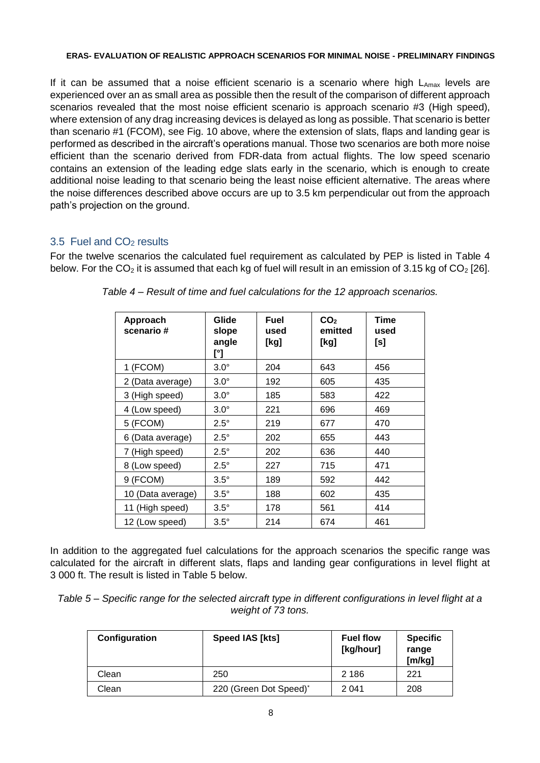If it can be assumed that a noise efficient scenario is a scenario where high  $L_{Amax}$  levels are experienced over an as small area as possible then the result of the comparison of different approach scenarios revealed that the most noise efficient scenario is approach scenario #3 (High speed), where extension of any drag increasing devices is delayed as long as possible. That scenario is better than scenario #1 (FCOM), see Fig. 10 above, where the extension of slats, flaps and landing gear is performed as described in the aircraft's operations manual. Those two scenarios are both more noise efficient than the scenario derived from FDR-data from actual flights. The low speed scenario contains an extension of the leading edge slats early in the scenario, which is enough to create additional noise leading to that scenario being the least noise efficient alternative. The areas where the noise differences described above occurs are up to 3.5 km perpendicular out from the approach path's projection on the ground.

### 3.5 Fuel and CO<sup>2</sup> results

For the twelve scenarios the calculated fuel requirement as calculated by PEP is listed in Table 4 below. For the  $CO<sub>2</sub>$  it is assumed that each kg of fuel will result in an emission of 3.15 kg of  $CO<sub>2</sub>$  [26].

| <b>Approach</b><br>scenario# | Glide<br>slope<br>angle<br>[°] | Fuel<br>used<br>[kg] | CO <sub>2</sub><br>emitted<br>[kg] | <b>Time</b><br>used<br>[s] |
|------------------------------|--------------------------------|----------------------|------------------------------------|----------------------------|
| 1 (FCOM)                     | $3.0^\circ$                    | 204                  | 643                                | 456                        |
| 2 (Data average)             | $3.0^\circ$                    | 192                  | 605                                | 435                        |
| 3 (High speed)               | $3.0^\circ$                    | 185                  | 583                                | 422                        |
| 4 (Low speed)                | $3.0^\circ$                    | 221                  | 696                                | 469                        |
| 5 (FCOM)                     | $2.5^\circ$                    | 219                  | 677                                | 470                        |
| 6 (Data average)             | $2.5^\circ$                    | 202                  | 655                                | 443                        |
| 7 (High speed)               | $2.5^\circ$                    | 202                  | 636                                | 440                        |
| 8 (Low speed)                | $2.5^\circ$                    | 227                  | 715                                | 471                        |
| 9 (FCOM)                     | $3.5^\circ$                    | 189                  | 592                                | 442                        |
| 10 (Data average)            | $3.5^\circ$                    | 188                  | 602                                | 435                        |
| 11 (High speed)              | $3.5^\circ$                    | 178                  | 561                                | 414                        |
| 12 (Low speed)               | $3.5^\circ$                    | 214                  | 674                                | 461                        |

*Table 4 – Result of time and fuel calculations for the 12 approach scenarios.*

In addition to the aggregated fuel calculations for the approach scenarios the specific range was calculated for the aircraft in different slats, flaps and landing gear configurations in level flight at 3 000 ft. The result is listed in Table 5 below.

*Table 5 – Specific range for the selected aircraft type in different configurations in level flight at a weight of 73 tons.*

| Configuration | Speed IAS [kts]        | <b>Fuel flow</b><br>[kg/hour] | <b>Specific</b><br>range<br>[m/kg] |
|---------------|------------------------|-------------------------------|------------------------------------|
| Clean         | 250                    | 2 1 8 6                       | 221                                |
| Clean         | 220 (Green Dot Speed)* | 2 0 4 1                       | 208                                |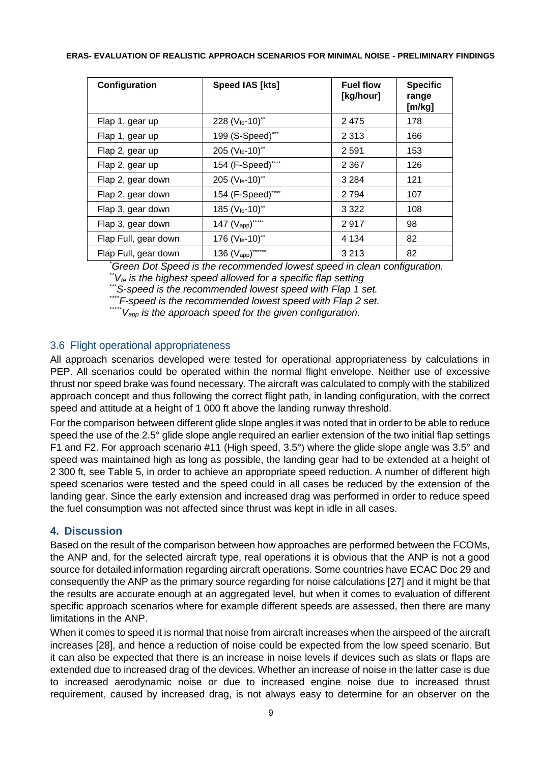| Configuration        | Speed IAS [kts]                   | <b>Fuel flow</b><br>[kg/hour] | <b>Specific</b><br>range<br>[m/kg] |
|----------------------|-----------------------------------|-------------------------------|------------------------------------|
| Flap 1, gear up      | 228 (Vfe-10)**                    | 2475                          | 178                                |
| Flap 1, gear up      | 199 (S-Speed)***                  | 2 3 1 3                       | 166                                |
| Flap 2, gear up      | 205 (Vfe-10)**                    | 2 5 9 1                       | 153                                |
| Flap 2, gear up      | 154 (F-Speed)****                 | 2 3 6 7                       | 126                                |
| Flap 2, gear down    | 205 (Vfe-10)**                    | 3 2 8 4                       | 121                                |
| Flap 2, gear down    | 154 (F-Speed)****                 | 2 7 9 4                       | 107                                |
| Flap 3, gear down    | 185 (Vfe-10)**                    | 3 3 2 2                       | 108                                |
| Flap 3, gear down    | 147 $(V_{app})$ *****             | 2917                          | 98                                 |
| Flap Full, gear down | 176 ( $V_{fe}$ -10) <sup>**</sup> | 4 1 3 4                       | 82                                 |
| Flap Full, gear down | 136 (Vapp)******                  | 3 2 1 3                       | 82                                 |

*\*Green Dot Speed is the recommended lowest speed in clean configuration.*

*\*\*Vfe is the highest speed allowed for a specific flap setting*

*\*\*\*S-speed is the recommended lowest speed with Flap 1 set.*

*\*\*\*\*F-speed is the recommended lowest speed with Flap 2 set.*

*\*\*\*\*\*Vapp is the approach speed for the given configuration.*

### 3.6 Flight operational appropriateness

All approach scenarios developed were tested for operational appropriateness by calculations in PEP. All scenarios could be operated within the normal flight envelope. Neither use of excessive thrust nor speed brake was found necessary. The aircraft was calculated to comply with the stabilized approach concept and thus following the correct flight path, in landing configuration, with the correct speed and attitude at a height of 1 000 ft above the landing runway threshold.

For the comparison between different glide slope angles it was noted that in order to be able to reduce speed the use of the 2.5° glide slope angle required an earlier extension of the two initial flap settings F1 and F2. For approach scenario #11 (High speed, 3.5°) where the glide slope angle was 3.5° and speed was maintained high as long as possible, the landing gear had to be extended at a height of 2 300 ft, see Table 5, in order to achieve an appropriate speed reduction. A number of different high speed scenarios were tested and the speed could in all cases be reduced by the extension of the landing gear. Since the early extension and increased drag was performed in order to reduce speed the fuel consumption was not affected since thrust was kept in idle in all cases.

### **4. Discussion**

Based on the result of the comparison between how approaches are performed between the FCOMs, the ANP and, for the selected aircraft type, real operations it is obvious that the ANP is not a good source for detailed information regarding aircraft operations. Some countries have ECAC Doc 29 and consequently the ANP as the primary source regarding for noise calculations [27] and it might be that the results are accurate enough at an aggregated level, but when it comes to evaluation of different specific approach scenarios where for example different speeds are assessed, then there are many limitations in the ANP.

When it comes to speed it is normal that noise from aircraft increases when the airspeed of the aircraft increases [28], and hence a reduction of noise could be expected from the low speed scenario. But it can also be expected that there is an increase in noise levels if devices such as slats or flaps are extended due to increased drag of the devices. Whether an increase of noise in the latter case is due to increased aerodynamic noise or due to increased engine noise due to increased thrust requirement, caused by increased drag, is not always easy to determine for an observer on the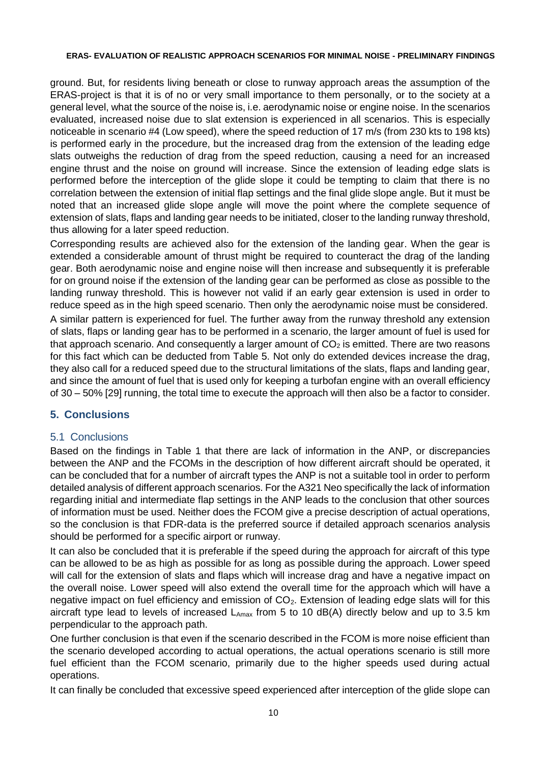ground. But, for residents living beneath or close to runway approach areas the assumption of the ERAS-project is that it is of no or very small importance to them personally, or to the society at a general level, what the source of the noise is, i.e. aerodynamic noise or engine noise. In the scenarios evaluated, increased noise due to slat extension is experienced in all scenarios. This is especially noticeable in scenario #4 (Low speed), where the speed reduction of 17 m/s (from 230 kts to 198 kts) is performed early in the procedure, but the increased drag from the extension of the leading edge slats outweighs the reduction of drag from the speed reduction, causing a need for an increased engine thrust and the noise on ground will increase. Since the extension of leading edge slats is performed before the interception of the glide slope it could be tempting to claim that there is no correlation between the extension of initial flap settings and the final glide slope angle. But it must be noted that an increased glide slope angle will move the point where the complete sequence of extension of slats, flaps and landing gear needs to be initiated, closer to the landing runway threshold, thus allowing for a later speed reduction.

Corresponding results are achieved also for the extension of the landing gear. When the gear is extended a considerable amount of thrust might be required to counteract the drag of the landing gear. Both aerodynamic noise and engine noise will then increase and subsequently it is preferable for on ground noise if the extension of the landing gear can be performed as close as possible to the landing runway threshold. This is however not valid if an early gear extension is used in order to reduce speed as in the high speed scenario. Then only the aerodynamic noise must be considered. A similar pattern is experienced for fuel. The further away from the runway threshold any extension of slats, flaps or landing gear has to be performed in a scenario, the larger amount of fuel is used for that approach scenario. And consequently a larger amount of  $CO<sub>2</sub>$  is emitted. There are two reasons for this fact which can be deducted from Table 5. Not only do extended devices increase the drag, they also call for a reduced speed due to the structural limitations of the slats, flaps and landing gear, and since the amount of fuel that is used only for keeping a turbofan engine with an overall efficiency of 30 – 50% [29] running, the total time to execute the approach will then also be a factor to consider.

## **5. Conclusions**

### 5.1 Conclusions

Based on the findings in Table 1 that there are lack of information in the ANP, or discrepancies between the ANP and the FCOMs in the description of how different aircraft should be operated, it can be concluded that for a number of aircraft types the ANP is not a suitable tool in order to perform detailed analysis of different approach scenarios. For the A321 Neo specifically the lack of information regarding initial and intermediate flap settings in the ANP leads to the conclusion that other sources of information must be used. Neither does the FCOM give a precise description of actual operations, so the conclusion is that FDR-data is the preferred source if detailed approach scenarios analysis should be performed for a specific airport or runway.

It can also be concluded that it is preferable if the speed during the approach for aircraft of this type can be allowed to be as high as possible for as long as possible during the approach. Lower speed will call for the extension of slats and flaps which will increase drag and have a negative impact on the overall noise. Lower speed will also extend the overall time for the approach which will have a negative impact on fuel efficiency and emission of  $CO<sub>2</sub>$ . Extension of leading edge slats will for this aircraft type lead to levels of increased  $L_{\text{Amax}}$  from 5 to 10 dB(A) directly below and up to 3.5 km perpendicular to the approach path.

One further conclusion is that even if the scenario described in the FCOM is more noise efficient than the scenario developed according to actual operations, the actual operations scenario is still more fuel efficient than the FCOM scenario, primarily due to the higher speeds used during actual operations.

It can finally be concluded that excessive speed experienced after interception of the glide slope can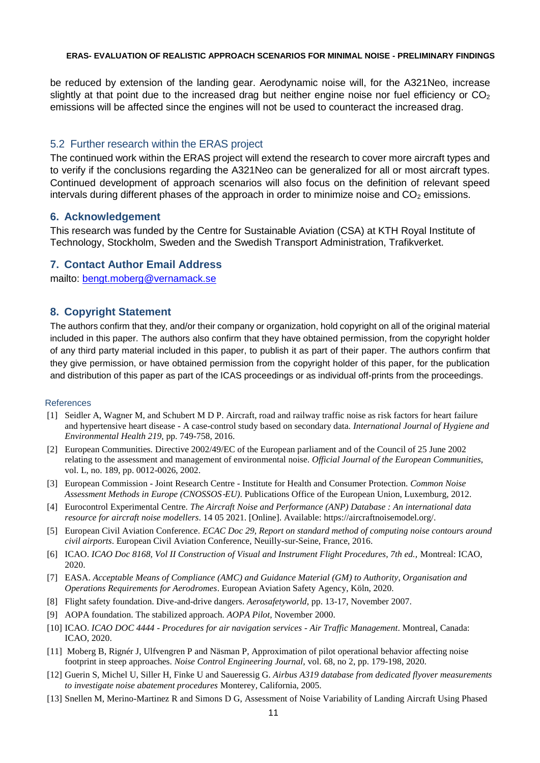be reduced by extension of the landing gear. Aerodynamic noise will, for the A321Neo, increase slightly at that point due to the increased drag but neither engine noise nor fuel efficiency or  $CO<sub>2</sub>$ emissions will be affected since the engines will not be used to counteract the increased drag.

#### 5.2 Further research within the ERAS project

The continued work within the ERAS project will extend the research to cover more aircraft types and to verify if the conclusions regarding the A321Neo can be generalized for all or most aircraft types. Continued development of approach scenarios will also focus on the definition of relevant speed intervals during different phases of the approach in order to minimize noise and  $CO<sub>2</sub>$  emissions.

#### **6. Acknowledgement**

This research was funded by the Centre for Sustainable Aviation (CSA) at KTH Royal Institute of Technology, Stockholm, Sweden and the Swedish Transport Administration, Trafikverket.

#### **7. Contact Author Email Address**

mailto: [bengt.moberg@vernamack.se](mailto:bengt.moberg@vernamack.se)

### **8. Copyright Statement**

The authors confirm that they, and/or their company or organization, hold copyright on all of the original material included in this paper. The authors also confirm that they have obtained permission, from the copyright holder of any third party material included in this paper, to publish it as part of their paper. The authors confirm that they give permission, or have obtained permission from the copyright holder of this paper, for the publication and distribution of this paper as part of the ICAS proceedings or as individual off-prints from the proceedings.

#### References

- [1] Seidler A, Wagner M, and Schubert M D P. Aircraft, road and railway traffic noise as risk factors for heart failure and hypertensive heart disease - A case-control study based on secondary data. *International Journal of Hygiene and Environmental Health 219,* pp. 749-758, 2016.
- [2] European Communities. Directive 2002/49/EC of the European parliament and of the Council of 25 June 2002 relating to the assessment and management of environmental noise. *Official Journal of the European Communities,*  vol. L, no. 189, pp. 0012-0026, 2002.
- [3] European Commission Joint Research Centre Institute for Health and Consumer Protection. *Common Noise Assessment Methods in Europe (CNOSSOS*‐*EU)*. Publications Office of the European Union, Luxemburg, 2012.
- [4] Eurocontrol Experimental Centre. *The Aircraft Noise and Performance (ANP) Database : An international data resource for aircraft noise modellers*. 14 05 2021. [Online]. Available: https://aircraftnoisemodel.org/.
- [5] European Civil Aviation Conference. *ECAC Doc 29, Report on standard method of computing noise contours around civil airports*. European Civil Aviation Conference, Neuilly-sur-Seine, France, 2016.
- [6] ICAO. *ICAO Doc 8168, Vol II Construction of Visual and Instrument Flight Procedures, 7th ed.,* Montreal: ICAO, 2020.
- [7] EASA. *Acceptable Means of Compliance (AMC) and Guidance Material (GM) to Authority, Organisation and Operations Requirements for Aerodromes*. European Aviation Safety Agency, Köln, 2020.
- [8] Flight safety foundation. Dive-and-drive dangers. *Aerosafetyworld,* pp. 13-17, November 2007.
- [9] AOPA foundation. The stabilized approach. *AOPA Pilot,* November 2000.
- [10] ICAO. *ICAO DOC 4444 - Procedures for air navigation services - Air Traffic Management*. Montreal, Canada: ICAO, 2020.
- [11] Moberg B, Rignér J, Ulfvengren P and Näsman P, Approximation of pilot operational behavior affecting noise footprint in steep approaches. *Noise Control Engineering Journal,* vol. 68, no 2, pp. 179-198, 2020.
- [12] Guerin S, Michel U, Siller H, Finke U and Saueressig G. *Airbus A319 database from dedicated flyover measurements to investigate noise abatement procedures* Monterey, California, 2005.
- [13] Snellen M, Merino-Martinez R and Simons D G, Assessment of Noise Variability of Landing Aircraft Using Phased